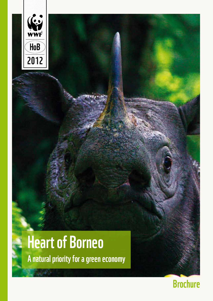

# Heart of Borneo

A natural priority for a green economy

### Brochure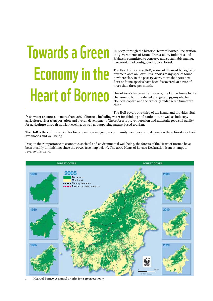# Towards a Green Economy in the Heart of Borneo

In 2007, through the historic Heart of Borneo Declaration, the governments of Brunei Darussalam, Indonesia and Malaysia committed to conserve and sustainably manage 220,000km2 of contiguous tropical forest.

The Heart of Borneo (HoB) is one of the most biologically diverse places on Earth. It supports many species found nowhere else. In the past 15 years, more than 500 new flora or fauna species have been discovered, at a rate of more than three per month.

One of Asia's last great rainforests, the HoB is home to the charismatic but threatened orangutan, pygmy elephant, clouded leopard and the critically endangered Sumatran rhino.

The HoB covers one-third of the island and provides vital

fresh water resources to more than 70% of Borneo, including water for drinking and sanitation, as well as industry, agriculture, river transportation and overall development. These forests prevent erosion and maintain good soil quality for agriculture through nutrient cycling, as well as supporting nature-based tourism.

The HoB is the cultural epicenter for one million indigenous community members, who depend on these forests for their livelihoods and well being.

Despite their importance to economic, societal and environmental well being, the forests of the Heart of Borneo have been steadily diminishing since the 1950s (see map below). The 2007 Heart of Borneo Declaration is an attempt to reverse this trend.



1 Heart of Borneo: A natural priority for a green economy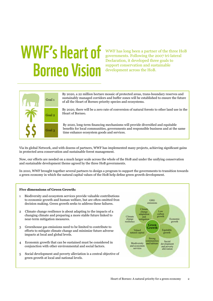## WWF's Heart of Borneo Vision

WWF has long been a partner of the three HoB governments. Following the 2007 tri-lateral Declaration, it developed three goals to support conservation and sustainable development across the HoB.



By 2020, a 22 million hectare mosaic of protected areas, trans-boundary reserves and sustainably managed corridors and buffer zones will be established to ensure the future of all the Heart of Borneo priority species and ecosystems.

By 2020, there will be a zero rate of conversion of natural forests to other land use in the Heart of Borneo.

By 2020, long-term financing mechanisms will provide diversified and equitable benefits for local communities, governments and responsible business and at the same time enhance ecosystem goods and services.

Via its global Network, and with dozens of partners, WWF has implemented many projects, achieving significant gains in protected area conservation and sustainable forest management.

Now, our efforts are needed on a much larger scale across the whole of the HoB and under the unifying conservation and sustainable development theme agreed by the three HoB governments.

In 2010, WWF brought together several partners to design a program to support the governments to transition towards a green economy in which the natural capital values of the HoB help define green growth development.

### **What do we mean by a green economy? Five dimensions of Green Growth:**

- 1 Biodiversity and ecosystem services provide valuable contributions to economic growth and human welfare, but are often omitted from decision making. Green growth seeks to address these failures.
- 2 Climate change resilience is about adapting to the impacts of a changing climate and preparing a more stable future linked to near-term mitigation measures.
- 3 Greenhouse gas emissions need to be limited to contribute to efforts to mitigate climate change and minimize future adverse impacts at local and global levels.
- 4 Economic growth that can be sustained must be considered in conjunction with other environmental and social factors.
- 5 Social development and poverty alleviation is a central objective of green growth at local and national levels.

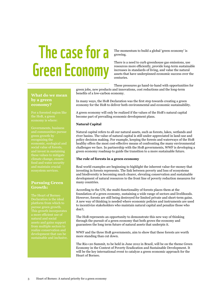### The case for a Green Economy

The momentum to build a global 'green economy' is growing.

There is a need to curb greenhouse gas emissions, use resources more efficiently, provide long-term sustainable increases in standards of living, and value the natural assets that have underpinned economic success over the centuries.

These pressures go hand-in-hand with opportunities for green jobs, new products and innovations, cost reductions and the long-term

### **What do we mean by a green economy?**

Governments, business and communities pursue green growth by recognizing the economic, ecological and social value of forests, and invest in sustaining

### **Pursuing Green Growth:**

The Heart of Borneo Declaration is the ideal assets and gains support development that can be sustainable and inclusive. benefits of a low-carbon economy. In many ways, the HoB Declaration was the first step towards creating a green

economy for the HoB to deliver both environmental and economic sustainability.

A green economy will only be realized if the values of the HoB's natural capital become part of prevailing economic development plans.

### **Natural Capital**

Natural capital refers to all our natural assets, such as forests, lakes, wetlands and river basins. The value of natural capital is still under-appreciated in land-use and policy decision making. For example, keeping the forests and waterways of the HoB healthy offers the most cost-effective means of confronting the many environmental challenges we face. In partnership with the HoB governments, WWF is developing a green economy roadmap to guide the transition to a more sustainable future.

### **The role of forests in a green economy**

Real world examples are beginning to highlight the inherent value-for-money that investing in forests represents. The link between poverty and loss of ecosystems and biodiversity is becoming much clearer, elevating conservation and sustainable development of natural resources to the front line of poverty reduction measures for many countries.

According to the UN, the multi-functionality of forests places them at the foundation of a green economy, sustaining a wide range of sectors and livelihoods. However, forests are still being destroyed for limited private and short-term gains. A new way of thinking is needed where economic policies and instruments are used to incentivize stakeholders who maintain natural capital and penalize those who don't.

The HoB represents an opportunity to demonstrate this new way of thinking through the pursuit of a green economy that both grows the economy and guarantees the long term future of natural assets that underpin it.

WWF and the three HoB governments, aim to show that these forests are worth more standing than cut down.

The Rio+20 Summit, to be held in June 2012 in Brazil, will be on the theme Green Economy in the Context of Poverty Eradication and Sustainable Development. It will be the key international event to catalyze a green economic approach for the Heart of Borneo.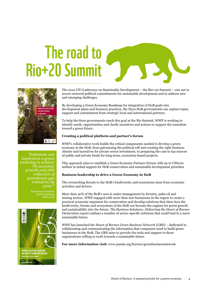### The road to Rio+20 Summit





*"Indonesia can implement a green economy to achieve 7% economic growth and 26% reduction of greenhouse gas emissions by 2020."* 

> Susilo Bambang Yudhoyono



The 2012 UN Conference on Sustainable Development – the Rio+20 Summit – sets out to secure renewed political commitments for sustainable development and to address new and emerging challenges.

By developing a Green Economy Roadmap for integration of HoB goals into development plans and business practices, the three HoB governments can capture input, support and commitment from strategic local and international partners.

To help the three governments reach this goal at the Rio Summit, WWF is working to identify needs, opportunities and clarify incentives and actions to support the transition toward a green future.

### **Creating a political platform and partner's forum**

WWF's collaborative work builds the critical components needed to develop a green economy in the HoB, from galvanizing the political will and creating the right business climate and incentives for private sector investment, to preparing the case to tap sources of public and private funds for long-term, ecosystem-based projects.

This approach aims to establish a Green Economy Partners Forum with up to US\$100 million in initial support for HoB conservation and sustainable development priorities

### **Business leadership to drive a Green Economy in HoB**

The overarching threats to the HoB's biodiversity and ecosystems stem from economic activities and drivers.

More than 40% of the HoB's area is under management by forestry, palm oil and mining sectors. WWF engaged with more than 200 businesses in the region to create a practical economic argument for conservation and develop solutions that show how the biodiversity, forests and ecosystems of the HoB can become the engines for green growth and sustainability into the future. *The Business Solutions: Delivering the Heart of Borneo Declaration* report outlines a number of sector-specific solutions that could lead to a more sustainable future.

WWF has launched the *Heart of Borneo Green Business Network (GBN)* – dedicated to collaborating and communicating the information that companies need to build green businesses in the HoB. The GBN aims to provide the tools and support to those organisations willing to work towards a sustainable future.

**For more information visit:** www.panda.org/borneo/greenbusinessnetwork.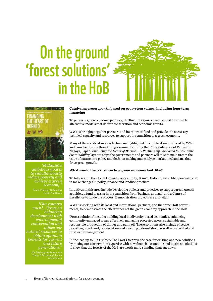### On the ground 'forest solutions' in the HoB





*"Malaysia's ambitious goal is to simultaneously reduce poverty and achieve a green*   $e_{\text{conomy}}$ .

> Prime Minister Datuk Seri Najib Tun Razak

*[Our country must]…"focus on balancing development with environmental conservation and utilize our natural resources to obtain optimum benefits for current and future generations."*

> *His Majesty the Sultan dan Yang-di Pertuan of Brunei Darussalam*

### **Catalyzing green growth based on ecosystem values, including long-term financing**

To pursue a green economic pathway, the three HoB governments must have viable alternative models that deliver conservation and economic results.

WWF is bringing together partners and investors to fund and provide the necessary technical capacity and resources to support the transition to a green economy.

Many of these critical success factors are highlighted in a publication produced by WWF and launched by the three HoB governments during the 10th Conference of Parties in Nagoya, Japan. *Financing the Heart of Borneo – A Partnership Approach to Economic Sustainability* lays out steps the governments and partners will take to mainstream the value of nature into policy and decision making and catalyze market mechanisms that drive green growth.

### **What would the transition to a green economy look like?**

To fully realize the Green Economy opportunity, Brunei, Indonesia and Malaysia will need to make changes in policy, finance and landuse practices.

Initiatives in this area include developing policies and practices to support green growth activities, a fund to assist in the transition from 'business as usual' and a Centre of Excellence to guide the process. Demonstration projects are also vital.

WWF is working with its local and international partners, and the three HoB governments, to demonstrate the effectiveness of the green economy approach in the HoB.

'Forest solutions' include: building local biodiversity-based economies, enhancing community-managed areas, effectively managing protected areas, sustainable and responsible production of timber and palm oil. These solutions also include effective use of degraded land, reforestation and avoiding deforestation, as well as watershed and freshwater management.

In the lead up to Rio+20 WWF will work to prove the case for existing and new solutions by mixing our conservation expertise with new financial, economic and business solutions to show that the forests of the HoB are worth more standing than cut down.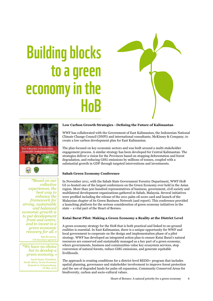### Building blocks to a green economy in the HoB





*"Based on our collective experiences, the best way to enhance the framework for strong, sustainable and balanced economic growth is to put development front and centre, and to invest in a green economic recovery for all."*  Ban Ki-moon,

UN Secretary-general

### *"We have no choice but to develop a green economy."*

Jacob Zuma, President, South Africa, Green Economy Summit in Johannesburg, 18 May 2010

### **Low Carbon Growth Strategies –Defining the Future of Kalimantan**

WWF has collaborated with the Government of East Kalimantan, the Indonesian National Climate Change Council (DNPI) and international consultants, McKinsey & Company, to create a low carbon development plan for East Kalimantan.

The plan focused on key economic sectors and was built around a multi-stakeholder engagement process. A similar strategy has been developed for Central Kalimantan. The strategies deliver a vision for the Provinces based on stopping deforestation and forest degradation, and reducing GHG emissions by millions of tonnes, coupled with a substantial growth in GDP through targeted interventions and investments.

### **Sabah Green Economy Conference**

In November 2011, with the Sabah State Government Forestry Department, WWF HoB GI co-hosted one of the largest conferences on the Green Economy ever held in the Asian region. More than 500 hundred representatives of business, government, civil society and multilateral development organizations gathered in Sabah, Malaysia. Several initiatives were profiled including the release of the 2011 palm oil score card and launch of the Malaysian chapter of its Green Business Network (and report). This conference provided a launching platform for the serious consideration of green economy initiatives in the state – a vital part of the Heart of Borneo.

### **Kutai Barat Pilot: Making a Green Economy a Reality at the District Level**

A green economy strategy for the HoB that is both practical and linked to on-ground realities is essential. In East Kalimantan, there is a unique opportunity for WWF and local government to cooperate on the design and implementation phase of a pilot strategy. WWF has developed an integrated action plan to ensure Kutai Barat's natural resources are conserved and sustainably managed as a key part of a green economy, where governments, business and communities value key ecosystem services, stop conversion of natural forests, reduce GHG emissions, and generate equitable livelihoods.

The approach is creating conditions for a district-level REDD+ program that includes spatial planning, governance and stakeholder involvement to improve forest protection and the use of degraded lands for palm oil expansion, Community Conserved Areas for biodiversity, carbon and socio-cultural values.